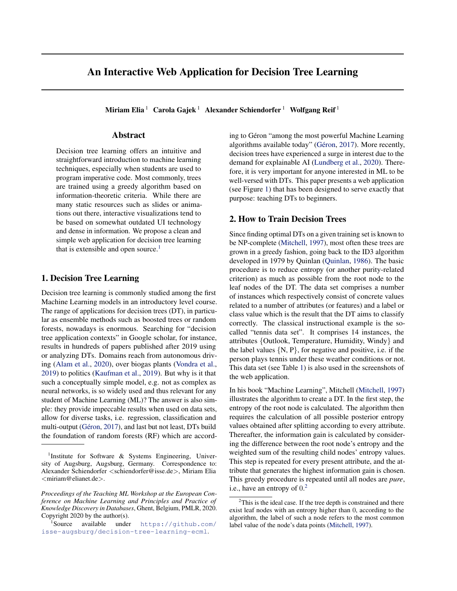# An Interactive Web Application for Decision Tree Learning

Miriam Elia <sup>1</sup> Carola Gajek <sup>1</sup> Alexander Schiendorfer <sup>1</sup> Wolfgang Reif <sup>1</sup>

#### Abstract

Decision tree learning offers an intuitive and straightforward introduction to machine learning techniques, especially when students are used to program imperative code. Most commonly, trees are trained using a greedy algorithm based on information-theoretic criteria. While there are many static resources such as slides or animations out there, interactive visualizations tend to be based on somewhat outdated UI technology and dense in information. We propose a clean and simple web application for decision tree learning that is extensible and open source.<sup>1</sup>

## 1. Decision Tree Learning

Decision tree learning is commonly studied among the first Machine Learning models in an introductory level course. The range of applications for decision trees (DT), in particular as ensemble methods such as boosted trees or random forests, nowadays is enormous. Searching for "decision tree application contexts" in Google scholar, for instance, results in hundreds of papers published after 2019 using or analyzing DTs. Domains reach from autonomous driving [\(Alam et al.,](#page-4-0) [2020\)](#page-4-0), over biogas plants [\(Vondra et al.,](#page-4-0) [2019\)](#page-4-0) to politics [\(Kaufman et al.,](#page-4-0) [2019\)](#page-4-0). But why is it that such a conceptually simple model, e.g. not as complex as neural networks, is so widely used and thus relevant for any student of Machine Learning (ML)? The answer is also simple: they provide impeccable results when used on data sets, allow for diverse tasks, i.e. regression, classification and multi-output (Géron, [2017\)](#page-4-0), and last but not least, DTs build the foundation of random forests (RF) which are according to Géron "among the most powerful Machine Learning algorithms available today" (Géron, [2017\)](#page-4-0). More recently, decision trees have experienced a surge in interest due to the demand for explainable AI [\(Lundberg et al.,](#page-4-0) [2020\)](#page-4-0). Therefore, it is very important for anyone interested in ML to be well-versed with DTs. This paper presents a web application (see Figure [1\)](#page-1-0) that has been designed to serve exactly that purpose: teaching DTs to beginners.

## 2. How to Train Decision Trees

Since finding optimal DTs on a given training set is known to be NP-complete [\(Mitchell,](#page-4-0) [1997\)](#page-4-0), most often these trees are grown in a greedy fashion, going back to the ID3 algorithm developed in 1979 by Quinlan [\(Quinlan,](#page-4-0) [1986\)](#page-4-0). The basic procedure is to reduce entropy (or another purity-related criterion) as much as possible from the root node to the leaf nodes of the DT. The data set comprises a number of instances which respectively consist of concrete values related to a number of attributes (or features) and a label or class value which is the result that the DT aims to classify correctly. The classical instructional example is the socalled "tennis data set". It comprises 14 instances, the attributes {Outlook, Temperature, Humidity, Windy} and the label values  $\{N, P\}$ , for negative and positive, i.e. if the person plays tennis under these weather conditions or not. This data set (see Table [1\)](#page-1-0) is also used in the screenshots of the web application.

In his book "Machine Learning", Mitchell [\(Mitchell,](#page-4-0) [1997\)](#page-4-0) illustrates the algorithm to create a DT. In the first step, the entropy of the root node is calculated. The algorithm then requires the calculation of all possible posterior entropy values obtained after splitting according to every attribute. Thereafter, the information gain is calculated by considering the difference between the root node's entropy and the weighted sum of the resulting child nodes' entropy values. This step is repeated for every present attribute, and the attribute that generates the highest information gain is chosen. This greedy procedure is repeated until all nodes are *pure*, i.e., have an entropy of  $0<sup>2</sup>$ 

<sup>&</sup>lt;sup>1</sup>Institute for Software & Systems Engineering, University of Augsburg, Augsburg, Germany. Correspondence to: Alexander Schiendorfer <schiendorfer@isse.de>, Miriam Elia <miriam@elianet.de>.

*Proceedings of the Teaching ML Workshop at the European Conference on Machine Learning and Principles and Practice of Knowledge Discovery in Databases*, Ghent, Belgium, PMLR, 2020. Copyright 2020 by the author(s).

<sup>&</sup>lt;sup>1</sup>Source available under [https://github.com/](https://github.com/isse-augsburg/decision-tree-learning-ecml) [isse-augsburg/decision-tree-learning-ecml](https://github.com/isse-augsburg/decision-tree-learning-ecml).

 $2$ This is the ideal case. If the tree depth is constrained and there exist leaf nodes with an entropy higher than 0, according to the algorithm, the label of such a node refers to the most common label value of the node's data points [\(Mitchell,](#page-4-0) [1997\)](#page-4-0).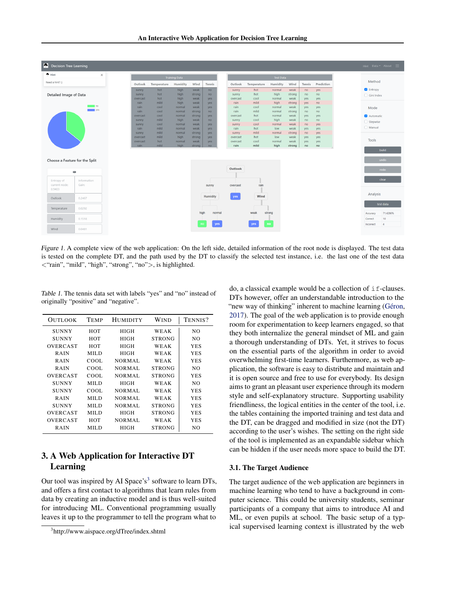<span id="page-1-0"></span>

Figure 1. A complete view of the web application: On the left side, detailed information of the root node is displayed. The test data is tested on the complete DT, and the path used by the DT to classify the selected test instance, i.e. the last one of the test data <"rain", "mild", "high", "strong", "no">, is highlighted.

Table 1. The tennis data set with labels "yes" and "no" instead of originally "positive" and "negative".

| OUTLOOK      | TEMP  | <b>HUMIDITY</b> | Wind          | TENNIS?    |
|--------------|-------|-----------------|---------------|------------|
| <b>SUNNY</b> | HOT   | <b>HIGH</b>     | WEAK          | NO.        |
| <b>SUNNY</b> | HOT   | <b>HIGH</b>     | <b>STRONG</b> | NO.        |
| OVERCAST     | HOT   | <b>HIGH</b>     | WEAK          | <b>YES</b> |
| <b>RAIN</b>  | MILD  | <b>HIGH</b>     | WEAK          | <b>YES</b> |
| <b>RAIN</b>  | COOL. | NORMAL          | WEAK          | <b>YES</b> |
| <b>RAIN</b>  | COOL. | <b>NORMAL</b>   | <b>STRONG</b> | NO.        |
| OVERCAST     | COOL  | <b>NORMAL</b>   | <b>STRONG</b> | <b>YES</b> |
| <b>SUNNY</b> | MILD  | <b>HIGH</b>     | WEAK          | NO.        |
| <b>SUNNY</b> | COOL. | <b>NORMAL</b>   | WEAK          | <b>YES</b> |
| <b>RAIN</b>  | MILD  | <b>NORMAL</b>   | WEAK          | <b>YES</b> |
| <b>SUNNY</b> | MILD  | NORMAL          | <b>STRONG</b> | <b>YES</b> |
| OVERCAST     | MILD  | <b>HIGH</b>     | <b>STRONG</b> | <b>YES</b> |
| OVERCAST     | HOT   | <b>NORMAL</b>   | WEAK          | <b>YES</b> |
| <b>RAIN</b>  | MILD  | <b>HIGH</b>     | <b>STRONG</b> | NO.        |

# 3. A Web Application for Interactive DT Learning

Our tool was inspired by AI Space's<sup>3</sup> software to learn DTs, and offers a first contact to algorithms that learn rules from data by creating an inductive model and is thus well-suited for introducing ML. Conventional programming usually leaves it up to the programmer to tell the program what to

do, a classical example would be a collection of if-clauses. DTs however, offer an understandable introduction to the "new way of thinking" inherent to machine learning (Géron, [2017\)](#page-4-0). The goal of the web application is to provide enough room for experimentation to keep learners engaged, so that they both internalize the general mindset of ML and gain a thorough understanding of DTs. Yet, it strives to focus on the essential parts of the algorithm in order to avoid overwhelming first-time learners. Furthermore, as web application, the software is easy to distribute and maintain and it is open source and free to use for everybody. Its design aims to grant an pleasant user experience through its modern style and self-explanatory structure. Supporting usability friendliness, the logical entities in the center of the tool, i.e. the tables containing the imported training and test data and the DT, can be dragged and modified in size (not the DT) according to the user's wishes. The setting on the right side of the tool is implemented as an expandable sidebar which can be hidden if the user needs more space to build the DT.

#### 3.1. The Target Audience

The target audience of the web application are beginners in machine learning who tend to have a background in computer science. This could be university students, seminar participants of a company that aims to introduce AI and ML, or even pupils at school. The basic setup of a typical supervised learning context is illustrated by the web

<sup>3</sup> http://www.aispace.org/dTree/index.shtml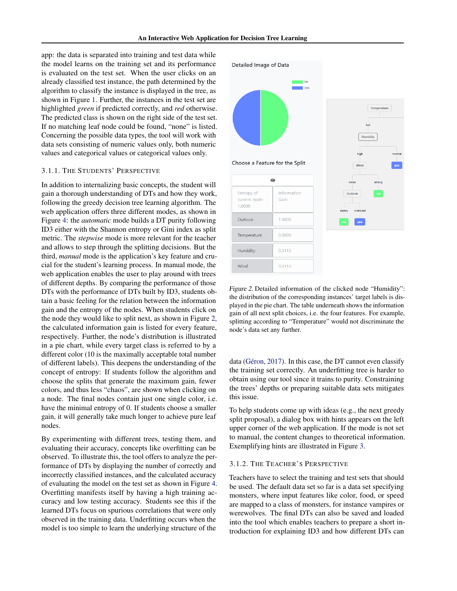app: the data is separated into training and test data while the model learns on the training set and its performance is evaluated on the test set. When the user clicks on an already classified test instance, the path determined by the algorithm to classify the instance is displayed in the tree, as shown in Figure [1.](#page-1-0) Further, the instances in the test set are highlighted *green* if predicted correctly, and *red* otherwise. The predicted class is shown on the right side of the test set. If no matching leaf node could be found, "none" is listed. Concerning the possible data types, the tool will work with data sets consisting of numeric values only, both numeric values and categorical values or categorical values only.

#### 3.1.1. THE STUDENTS' PERSPECTIVE

In addition to internalizing basic concepts, the student will gain a thorough understanding of DTs and how they work, following the greedy decision tree learning algorithm. The web application offers three different modes, as shown in Figure [4:](#page-3-0) the *automatic* mode builds a DT purity following ID3 either with the Shannon entropy or Gini index as split metric. The *stepwise* mode is more relevant for the teacher and allows to step through the splitting decisions. But the third, *manual* mode is the application's key feature and crucial for the student's learning process. In manual mode, the web application enables the user to play around with trees of different depths. By comparing the performance of those DTs with the performance of DTs built by ID3, students obtain a basic feeling for the relation between the information gain and the entropy of the nodes. When students click on the node they would like to split next, as shown in Figure 2, the calculated information gain is listed for every feature, respectively. Further, the node's distribution is illustrated in a pie chart, while every target class is referred to by a different color (10 is the maximally acceptable total number of different labels). This deepens the understanding of the concept of entropy: If students follow the algorithm and choose the splits that generate the maximum gain, fewer colors, and thus less "chaos", are shown when clicking on a node. The final nodes contain just one single color, i.e. have the minimal entropy of 0. If students choose a smaller gain, it will generally take much longer to achieve pure leaf nodes.

By experimenting with different trees, testing them, and evaluating their accuracy, concepts like overfitting can be observed. To illustrate this, the tool offers to analyze the performance of DTs by displaying the number of correctly and incorrectly classified instances, and the calculated accuracy of evaluating the model on the test set as shown in Figure [4.](#page-3-0) Overfitting manifests itself by having a high training accuracy and low testing accuracy. Students see this if the learned DTs focus on spurious correlations that were only observed in the training data. Underfitting occurs when the model is too simple to learn the underlying structure of the



Figure 2. Detailed information of the clicked node "Humidity": the distribution of the corresponding instances' target labels is displayed in the pie chart. The table underneath shows the information gain of all next split choices, i.e. the four features. For example, splitting according to "Temperature" would not discriminate the node's data set any further.

data (Géron, [2017\)](#page-4-0). In this case, the DT cannot even classify the training set correctly. An underfitting tree is harder to obtain using our tool since it trains to purity. Constraining the trees' depths or preparing suitable data sets mitigates this issue.

To help students come up with ideas (e.g., the next greedy split proposal), a dialog box with hints appears on the left upper corner of the web application. If the mode is not set to manual, the content changes to theoretical information. Exemplifying hints are illustrated in Figure [3.](#page-3-0)

# 3.1.2. THE TEACHER'S PERSPECTIVE

Teachers have to select the training and test sets that should be used. The default data set so far is a data set specifying monsters, where input features like color, food, or speed are mapped to a class of monsters, for instance vampires or werewolves. The final DTs can also be saved and loaded into the tool which enables teachers to prepare a short introduction for explaining ID3 and how different DTs can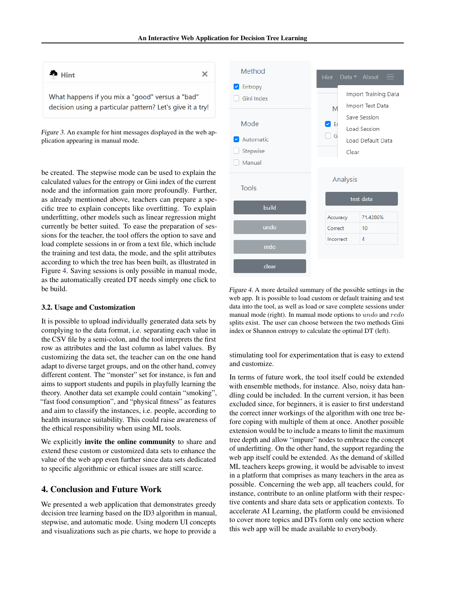<span id="page-3-0"></span>

Figure 3. An example for hint messages displayed in the web application appearing in manual mode.

be created. The stepwise mode can be used to explain the calculated values for the entropy or Gini index of the current node and the information gain more profoundly. Further, as already mentioned above, teachers can prepare a specific tree to explain concepts like overfitting. To explain underfitting, other models such as linear regression might currently be better suited. To ease the preparation of sessions for the teacher, the tool offers the option to save and load complete sessions in or from a text file, which include the training and test data, the mode, and the split attributes according to which the tree has been built, as illustrated in Figure 4. Saving sessions is only possible in manual mode, as the automatically created DT needs simply one click to be build.

#### 3.2. Usage and Customization

It is possible to upload individually generated data sets by complying to the data format, i.e. separating each value in the CSV file by a semi-colon, and the tool interprets the first row as attributes and the last column as label values. By customizing the data set, the teacher can on the one hand adapt to diverse target groups, and on the other hand, convey different content. The "monster" set for instance, is fun and aims to support students and pupils in playfully learning the theory. Another data set example could contain "smoking", "fast food consumption", and "physical fitness" as features and aim to classify the instances, i.e. people, according to health insurance suitability. This could raise awareness of the ethical responsibility when using ML tools.

We explicitly **invite the online community** to share and extend these custom or customized data sets to enhance the value of the web app even further since data sets dedicated to specific algorithmic or ethical issues are still scarce.

# 4. Conclusion and Future Work

We presented a web application that demonstrates greedy decision tree learning based on the ID3 algorithm in manual, stepwise, and automatic mode. Using modern UI concepts and visualizations such as pie charts, we hope to provide a



Figure 4. A more detailed summary of the possible settings in the web app. It is possible to load custom or default training and test data into the tool, as well as load or save complete sessions under manual mode (right). In manual mode options to undo and redo splits exist. The user can choose between the two methods Gini index or Shannon entropy to calculate the optimal DT (left).

stimulating tool for experimentation that is easy to extend and customize.

In terms of future work, the tool itself could be extended with ensemble methods, for instance. Also, noisy data handling could be included. In the current version, it has been excluded since, for beginners, it is easier to first understand the correct inner workings of the algorithm with one tree before coping with multiple of them at once. Another possible extension would be to include a means to limit the maximum tree depth and allow "impure" nodes to embrace the concept of underfitting. On the other hand, the support regarding the web app itself could be extended. As the demand of skilled ML teachers keeps growing, it would be advisable to invest in a platform that comprises as many teachers in the area as possible. Concerning the web app, all teachers could, for instance, contribute to an online platform with their respective contents and share data sets or application contexts. To accelerate AI Learning, the platform could be envisioned to cover more topics and DTs form only one section where this web app will be made available to everybody.